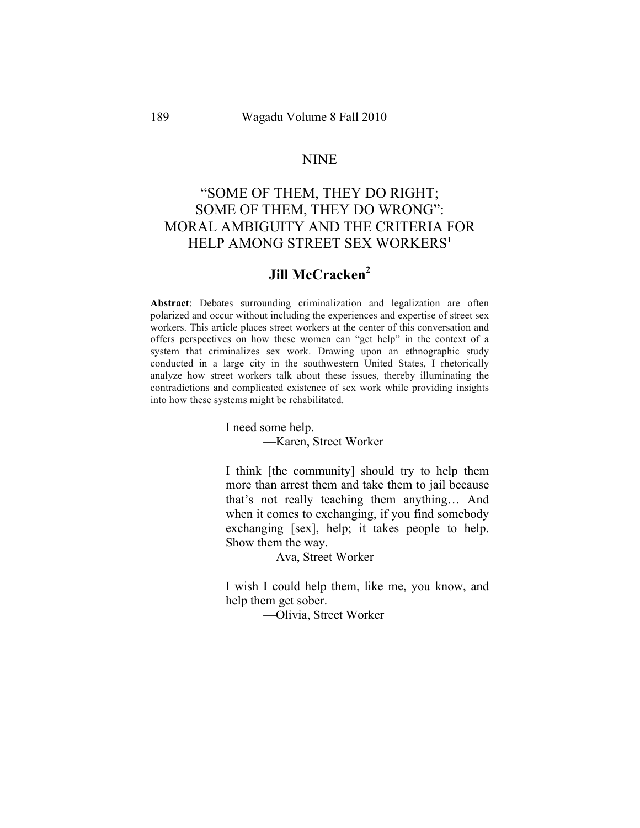#### NINE

# "SOME OF THEM, THEY DO RIGHT; SOME OF THEM, THEY DO WRONG": MORAL AMBIGUITY AND THE CRITERIA FOR HELP AMONG STREET SEX WORKERS<sup>1</sup>

## **Jill McCracken<sup>2</sup>**

**Abstract**: Debates surrounding criminalization and legalization are often polarized and occur without including the experiences and expertise of street sex workers. This article places street workers at the center of this conversation and offers perspectives on how these women can "get help" in the context of a system that criminalizes sex work. Drawing upon an ethnographic study conducted in a large city in the southwestern United States, I rhetorically analyze how street workers talk about these issues, thereby illuminating the contradictions and complicated existence of sex work while providing insights into how these systems might be rehabilitated.

I need some help.

—Karen, Street Worker

I think [the community] should try to help them more than arrest them and take them to jail because that's not really teaching them anything… And when it comes to exchanging, if you find somebody exchanging [sex], help; it takes people to help. Show them the way.

—Ava, Street Worker

I wish I could help them, like me, you know, and help them get sober.

—Olivia, Street Worker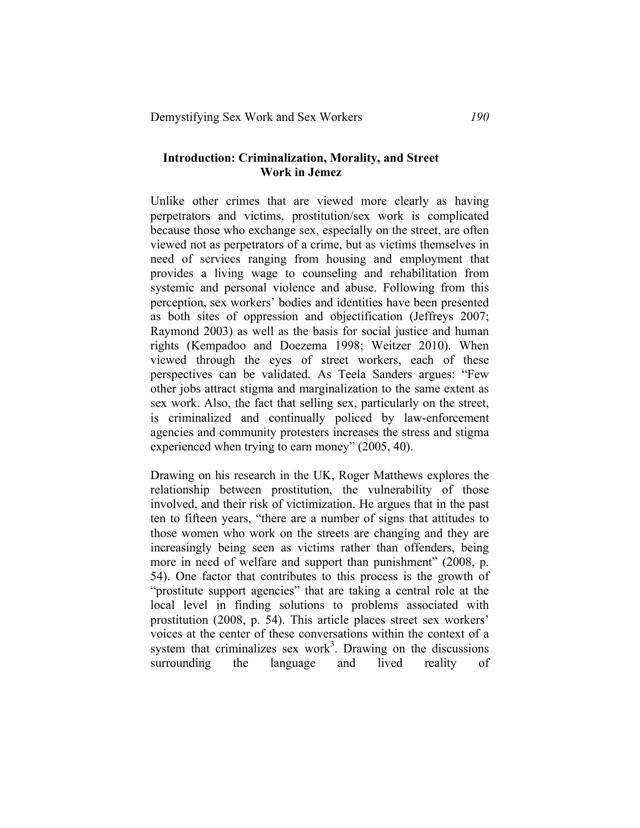#### **Introduction: Criminalization, Morality, and Street Work in Jemez**

Unlike other crimes that are viewed more clearly as having perpetrators and victims, prostitution/sex work is complicated because those who exchange sex, especially on the street, are often viewed not as perpetrators of a crime, but as victims themselves in need of services ranging from housing and employment that provides a living wage to counseling and rehabilitation from systemic and personal violence and abuse. Following from this perception, sex workers' bodies and identities have been presented as both sites of oppression and objectification (Jeffreys 2007; Raymond 2003) as well as the basis for social justice and human rights (Kempadoo and Doezema 1998; Weitzer 2010). When viewed through the eyes of street workers, each of these perspectives can be validated. As Teela Sanders argues: "Few other jobs attract stigma and marginalization to the same extent as sex work. Also, the fact that selling sex, particularly on the street, is criminalized and continually policed by law-enforcement agencies and community protesters increases the stress and stigma experienced when trying to earn money" (2005, 40).

Drawing on his research in the UK, Roger Matthews explores the relationship between prostitution, the vulnerability of those involved, and their risk of victimization. He argues that in the past ten to fifteen years, "there are a number of signs that attitudes to those women who work on the streets are changing and they are increasingly being seen as victims rather than offenders, being more in need of welfare and support than punishment" (2008, p. 54). One factor that contributes to this process is the growth of "prostitute support agencies" that are taking a central role at the local level in finding solutions to problems associated with prostitution (2008, p. 54). This article places street sex workers' voices at the center of these conversations within the context of a system that criminalizes sex work<sup>3</sup>. Drawing on the discussions surrounding the language and lived reality of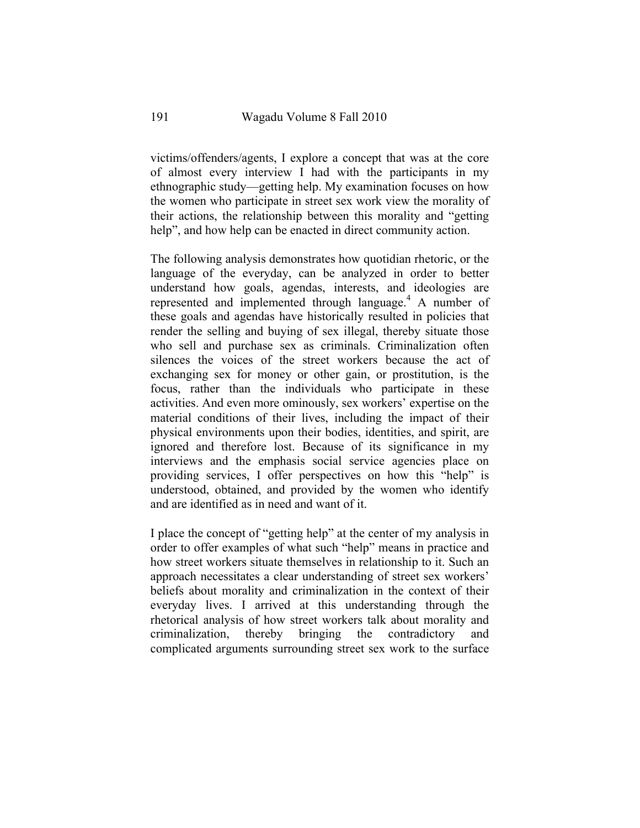victims/offenders/agents, I explore a concept that was at the core of almost every interview I had with the participants in my ethnographic study—getting help. My examination focuses on how the women who participate in street sex work view the morality of their actions, the relationship between this morality and "getting help", and how help can be enacted in direct community action.

The following analysis demonstrates how quotidian rhetoric, or the language of the everyday, can be analyzed in order to better understand how goals, agendas, interests, and ideologies are represented and implemented through language.4 A number of these goals and agendas have historically resulted in policies that render the selling and buying of sex illegal, thereby situate those who sell and purchase sex as criminals. Criminalization often silences the voices of the street workers because the act of exchanging sex for money or other gain, or prostitution, is the focus, rather than the individuals who participate in these activities. And even more ominously, sex workers' expertise on the material conditions of their lives, including the impact of their physical environments upon their bodies, identities, and spirit, are ignored and therefore lost. Because of its significance in my interviews and the emphasis social service agencies place on providing services, I offer perspectives on how this "help" is understood, obtained, and provided by the women who identify and are identified as in need and want of it.

I place the concept of "getting help" at the center of my analysis in order to offer examples of what such "help" means in practice and how street workers situate themselves in relationship to it. Such an approach necessitates a clear understanding of street sex workers' beliefs about morality and criminalization in the context of their everyday lives. I arrived at this understanding through the rhetorical analysis of how street workers talk about morality and criminalization, thereby bringing the contradictory and complicated arguments surrounding street sex work to the surface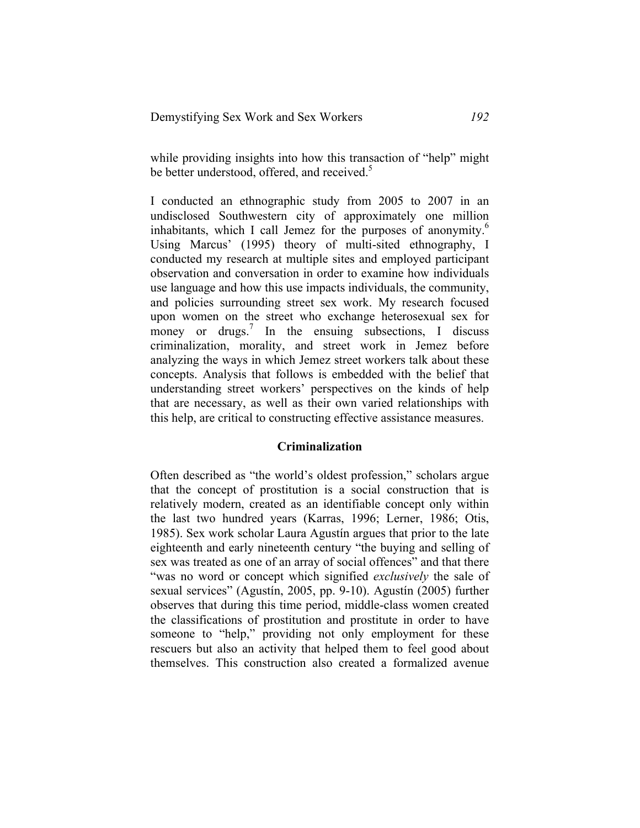while providing insights into how this transaction of "help" might be better understood, offered, and received.<sup>5</sup>

I conducted an ethnographic study from 2005 to 2007 in an undisclosed Southwestern city of approximately one million inhabitants, which I call Jemez for the purposes of anonymity.<sup>6</sup> Using Marcus' (1995) theory of multi-sited ethnography, I conducted my research at multiple sites and employed participant observation and conversation in order to examine how individuals use language and how this use impacts individuals, the community, and policies surrounding street sex work. My research focused upon women on the street who exchange heterosexual sex for money or drugs.<sup>7</sup> In the ensuing subsections, I discuss criminalization, morality, and street work in Jemez before analyzing the ways in which Jemez street workers talk about these concepts. Analysis that follows is embedded with the belief that understanding street workers' perspectives on the kinds of help that are necessary, as well as their own varied relationships with this help, are critical to constructing effective assistance measures.

#### **Criminalization**

Often described as "the world's oldest profession," scholars argue that the concept of prostitution is a social construction that is relatively modern, created as an identifiable concept only within the last two hundred years (Karras, 1996; Lerner, 1986; Otis, 1985). Sex work scholar Laura Agustín argues that prior to the late eighteenth and early nineteenth century "the buying and selling of sex was treated as one of an array of social offences" and that there "was no word or concept which signified *exclusively* the sale of sexual services" (Agustín, 2005, pp. 9-10). Agustín (2005) further observes that during this time period, middle-class women created the classifications of prostitution and prostitute in order to have someone to "help," providing not only employment for these rescuers but also an activity that helped them to feel good about themselves. This construction also created a formalized avenue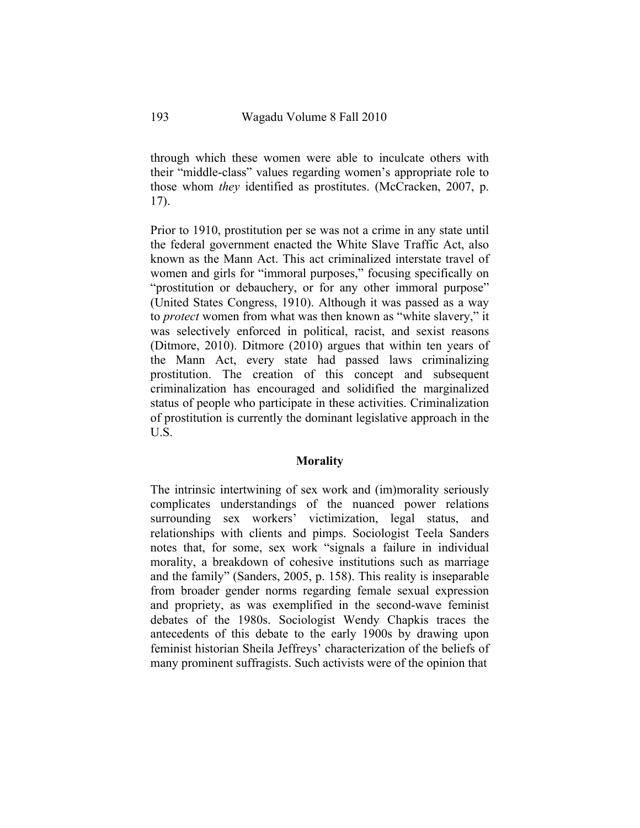through which these women were able to inculcate others with their "middle-class" values regarding women's appropriate role to those whom *they* identified as prostitutes. (McCracken, 2007, p. 17).

Prior to 1910, prostitution per se was not a crime in any state until the federal government enacted the White Slave Traffic Act, also known as the Mann Act. This act criminalized interstate travel of women and girls for "immoral purposes," focusing specifically on "prostitution or debauchery, or for any other immoral purpose" (United States Congress, 1910). Although it was passed as a way to *protect* women from what was then known as "white slavery," it was selectively enforced in political, racist, and sexist reasons (Ditmore, 2010). Ditmore (2010) argues that within ten years of the Mann Act, every state had passed laws criminalizing prostitution. The creation of this concept and subsequent criminalization has encouraged and solidified the marginalized status of people who participate in these activities. Criminalization of prostitution is currently the dominant legislative approach in the U.S.

#### **Morality**

The intrinsic intertwining of sex work and (im)morality seriously complicates understandings of the nuanced power relations surrounding sex workers' victimization, legal status, and relationships with clients and pimps. Sociologist Teela Sanders notes that, for some, sex work "signals a failure in individual morality, a breakdown of cohesive institutions such as marriage and the family" (Sanders, 2005, p. 158). This reality is inseparable from broader gender norms regarding female sexual expression and propriety, as was exemplified in the second-wave feminist debates of the 1980s. Sociologist Wendy Chapkis traces the antecedents of this debate to the early 1900s by drawing upon feminist historian Sheila Jeffreys' characterization of the beliefs of many prominent suffragists. Such activists were of the opinion that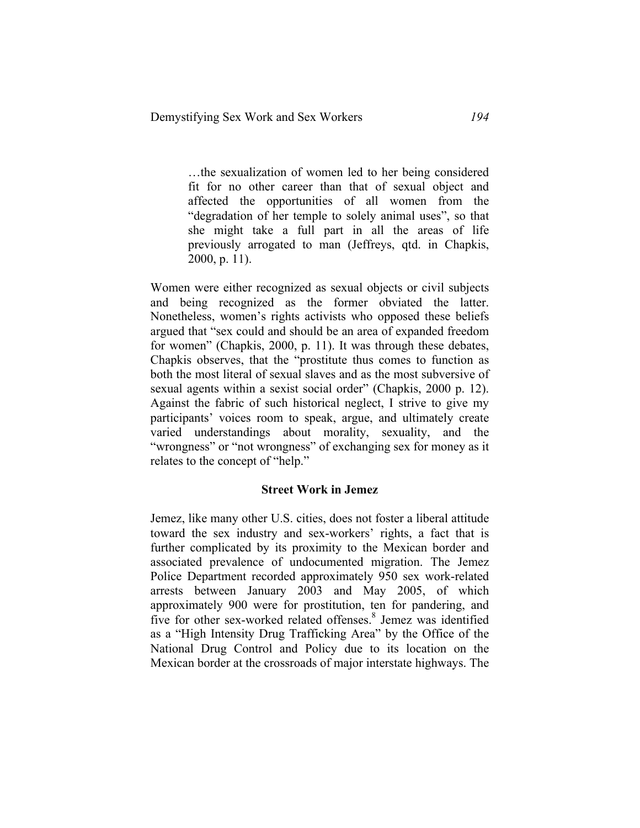…the sexualization of women led to her being considered fit for no other career than that of sexual object and affected the opportunities of all women from the "degradation of her temple to solely animal uses", so that she might take a full part in all the areas of life previously arrogated to man (Jeffreys, qtd. in Chapkis, 2000, p. 11).

Women were either recognized as sexual objects or civil subjects and being recognized as the former obviated the latter. Nonetheless, women's rights activists who opposed these beliefs argued that "sex could and should be an area of expanded freedom for women" (Chapkis, 2000, p. 11). It was through these debates, Chapkis observes, that the "prostitute thus comes to function as both the most literal of sexual slaves and as the most subversive of sexual agents within a sexist social order" (Chapkis, 2000 p. 12). Against the fabric of such historical neglect, I strive to give my participants' voices room to speak, argue, and ultimately create varied understandings about morality, sexuality, and the "wrongness" or "not wrongness" of exchanging sex for money as it relates to the concept of "help."

#### **Street Work in Jemez**

Jemez, like many other U.S. cities, does not foster a liberal attitude toward the sex industry and sex-workers' rights, a fact that is further complicated by its proximity to the Mexican border and associated prevalence of undocumented migration. The Jemez Police Department recorded approximately 950 sex work-related arrests between January 2003 and May 2005, of which approximately 900 were for prostitution, ten for pandering, and five for other sex-worked related offenses. <sup>8</sup> Jemez was identified as a "High Intensity Drug Trafficking Area" by the Office of the National Drug Control and Policy due to its location on the Mexican border at the crossroads of major interstate highways. The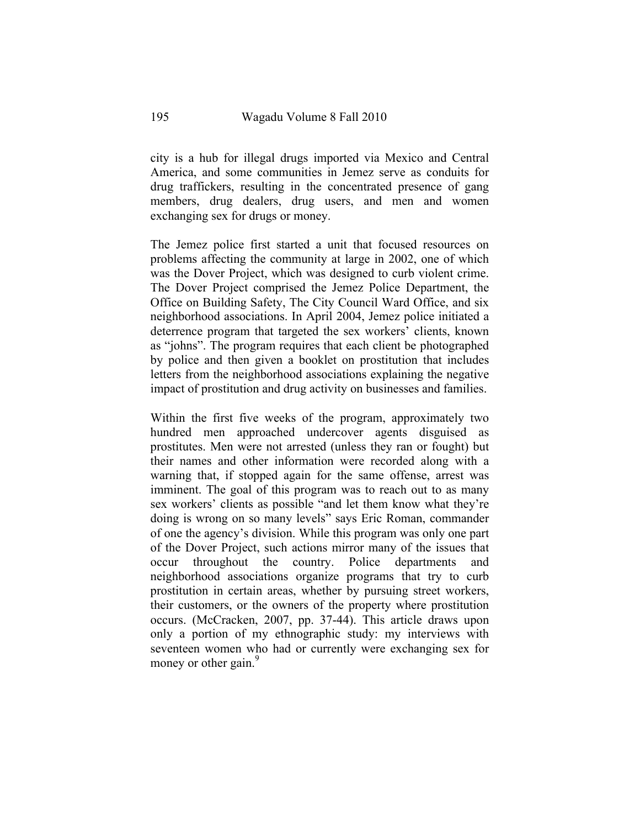city is a hub for illegal drugs imported via Mexico and Central America, and some communities in Jemez serve as conduits for drug traffickers, resulting in the concentrated presence of gang members, drug dealers, drug users, and men and women exchanging sex for drugs or money.

The Jemez police first started a unit that focused resources on problems affecting the community at large in 2002, one of which was the Dover Project, which was designed to curb violent crime. The Dover Project comprised the Jemez Police Department, the Office on Building Safety, The City Council Ward Office, and six neighborhood associations. In April 2004, Jemez police initiated a deterrence program that targeted the sex workers' clients, known as "johns". The program requires that each client be photographed by police and then given a booklet on prostitution that includes letters from the neighborhood associations explaining the negative impact of prostitution and drug activity on businesses and families.

Within the first five weeks of the program, approximately two hundred men approached undercover agents disguised as prostitutes. Men were not arrested (unless they ran or fought) but their names and other information were recorded along with a warning that, if stopped again for the same offense, arrest was imminent. The goal of this program was to reach out to as many sex workers' clients as possible "and let them know what they're doing is wrong on so many levels" says Eric Roman, commander of one the agency's division. While this program was only one part of the Dover Project, such actions mirror many of the issues that occur throughout the country. Police departments and neighborhood associations organize programs that try to curb prostitution in certain areas, whether by pursuing street workers, their customers, or the owners of the property where prostitution occurs. (McCracken, 2007, pp. 37-44). This article draws upon only a portion of my ethnographic study: my interviews with seventeen women who had or currently were exchanging sex for money or other gain.<sup>9</sup>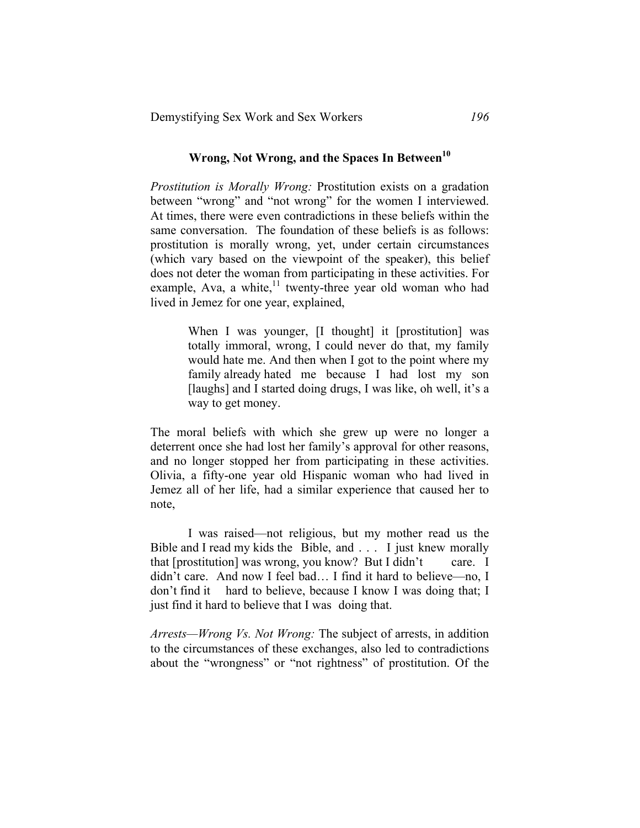## Wrong, Not Wrong, and the Spaces In Between<sup>10</sup>

*Prostitution is Morally Wrong:* Prostitution exists on a gradation between "wrong" and "not wrong" for the women I interviewed. At times, there were even contradictions in these beliefs within the same conversation. The foundation of these beliefs is as follows: prostitution is morally wrong, yet, under certain circumstances (which vary based on the viewpoint of the speaker), this belief does not deter the woman from participating in these activities. For example, Ava, a white, $11$  twenty-three year old woman who had lived in Jemez for one year, explained,

> When I was younger, [I thought] it [prostitution] was totally immoral, wrong, I could never do that, my family would hate me. And then when I got to the point where my family already hated me because I had lost my son [laughs] and I started doing drugs, I was like, oh well, it's a way to get money.

The moral beliefs with which she grew up were no longer a deterrent once she had lost her family's approval for other reasons, and no longer stopped her from participating in these activities. Olivia, a fifty-one year old Hispanic woman who had lived in Jemez all of her life, had a similar experience that caused her to note,

I was raised—not religious, but my mother read us the Bible and I read my kids the Bible, and . . . I just knew morally that [prostitution] was wrong, you know? But I didn't care. I didn't care. And now I feel bad… I find it hard to believe—no, I don't find it hard to believe, because I know I was doing that; I just find it hard to believe that I was doing that.

*Arrests—Wrong Vs. Not Wrong:* The subject of arrests, in addition to the circumstances of these exchanges, also led to contradictions about the "wrongness" or "not rightness" of prostitution. Of the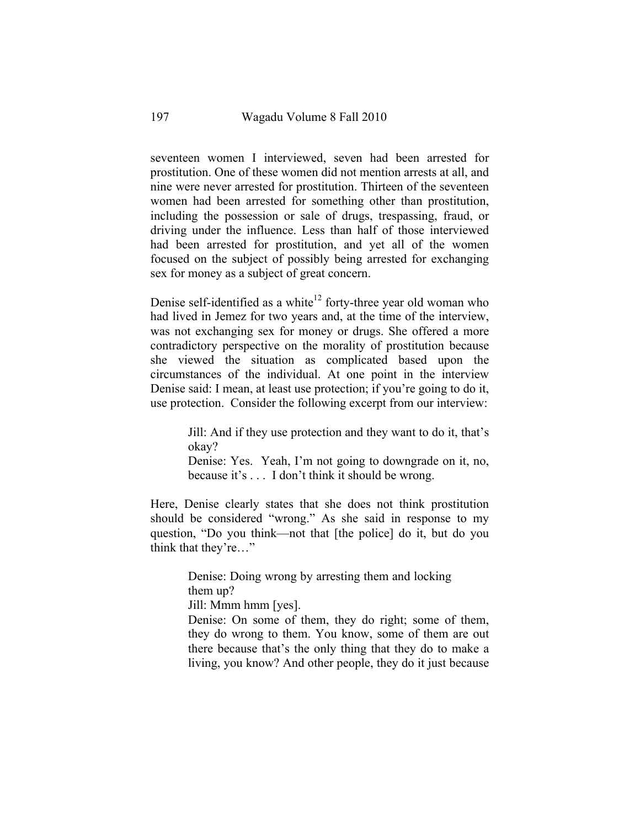seventeen women I interviewed, seven had been arrested for prostitution. One of these women did not mention arrests at all, and nine were never arrested for prostitution. Thirteen of the seventeen women had been arrested for something other than prostitution, including the possession or sale of drugs, trespassing, fraud, or driving under the influence. Less than half of those interviewed had been arrested for prostitution, and yet all of the women focused on the subject of possibly being arrested for exchanging sex for money as a subject of great concern.

Denise self-identified as a white<sup>12</sup> forty-three year old woman who had lived in Jemez for two years and, at the time of the interview, was not exchanging sex for money or drugs. She offered a more contradictory perspective on the morality of prostitution because she viewed the situation as complicated based upon the circumstances of the individual. At one point in the interview Denise said: I mean, at least use protection; if you're going to do it, use protection. Consider the following excerpt from our interview:

> Jill: And if they use protection and they want to do it, that's okay?

> Denise: Yes. Yeah, I'm not going to downgrade on it, no, because it's . . . I don't think it should be wrong.

Here, Denise clearly states that she does not think prostitution should be considered "wrong." As she said in response to my question, "Do you think—not that [the police] do it, but do you think that they're…"

> Denise: Doing wrong by arresting them and locking them up?

Jill: Mmm hmm [yes].

Denise: On some of them, they do right; some of them, they do wrong to them. You know, some of them are out there because that's the only thing that they do to make a living, you know? And other people, they do it just because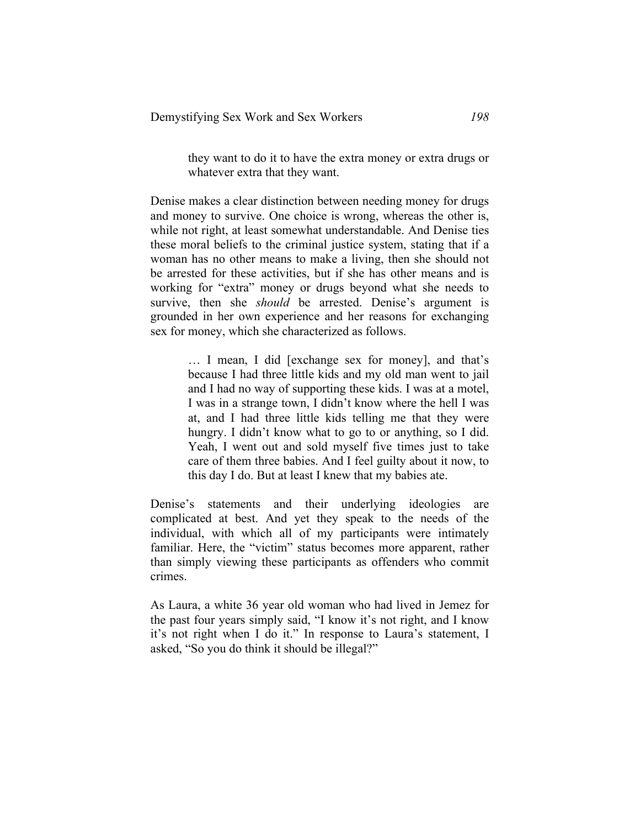they want to do it to have the extra money or extra drugs or whatever extra that they want.

Denise makes a clear distinction between needing money for drugs and money to survive. One choice is wrong, whereas the other is, while not right, at least somewhat understandable. And Denise ties these moral beliefs to the criminal justice system, stating that if a woman has no other means to make a living, then she should not be arrested for these activities, but if she has other means and is working for "extra" money or drugs beyond what she needs to survive, then she *should* be arrested. Denise's argument is grounded in her own experience and her reasons for exchanging sex for money, which she characterized as follows.

> … I mean, I did [exchange sex for money], and that's because I had three little kids and my old man went to jail and I had no way of supporting these kids. I was at a motel, I was in a strange town, I didn't know where the hell I was at, and I had three little kids telling me that they were hungry. I didn't know what to go to or anything, so I did. Yeah, I went out and sold myself five times just to take care of them three babies. And I feel guilty about it now, to this day I do. But at least I knew that my babies ate.

Denise's statements and their underlying ideologies are complicated at best. And yet they speak to the needs of the individual, with which all of my participants were intimately familiar. Here, the "victim" status becomes more apparent, rather than simply viewing these participants as offenders who commit crimes.

As Laura, a white 36 year old woman who had lived in Jemez for the past four years simply said, "I know it's not right, and I know it's not right when I do it." In response to Laura's statement, I asked, "So you do think it should be illegal?"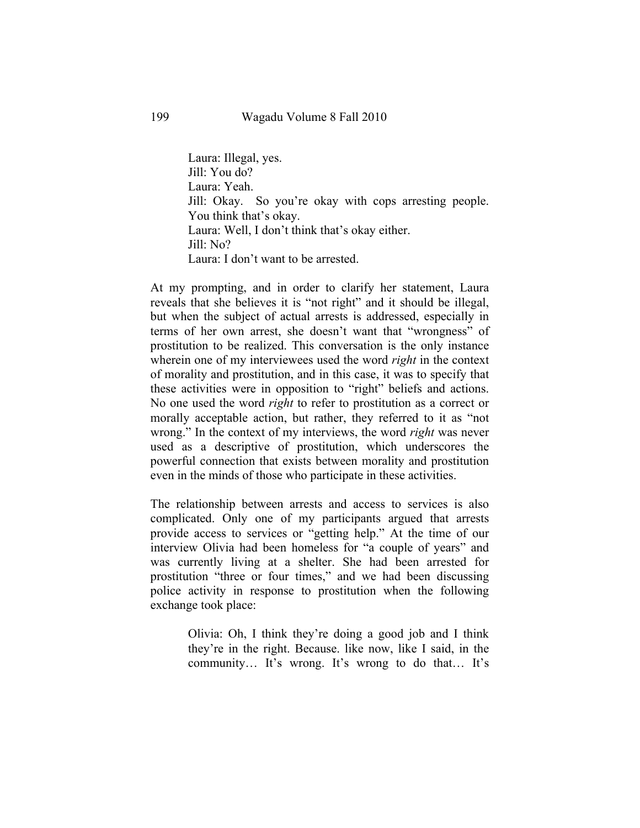Laura: Illegal, yes. Jill: You do? Laura: Yeah. Jill: Okay. So you're okay with cops arresting people. You think that's okay. Laura: Well, I don't think that's okay either. Jill: No? Laura: I don't want to be arrested.

At my prompting, and in order to clarify her statement, Laura reveals that she believes it is "not right" and it should be illegal, but when the subject of actual arrests is addressed, especially in terms of her own arrest, she doesn't want that "wrongness" of prostitution to be realized. This conversation is the only instance wherein one of my interviewees used the word *right* in the context of morality and prostitution, and in this case, it was to specify that these activities were in opposition to "right" beliefs and actions. No one used the word *right* to refer to prostitution as a correct or morally acceptable action, but rather, they referred to it as "not wrong." In the context of my interviews, the word *right* was never used as a descriptive of prostitution, which underscores the powerful connection that exists between morality and prostitution even in the minds of those who participate in these activities.

The relationship between arrests and access to services is also complicated. Only one of my participants argued that arrests provide access to services or "getting help." At the time of our interview Olivia had been homeless for "a couple of years" and was currently living at a shelter. She had been arrested for prostitution "three or four times," and we had been discussing police activity in response to prostitution when the following exchange took place:

> Olivia: Oh, I think they're doing a good job and I think they're in the right. Because. like now, like I said, in the community… It's wrong. It's wrong to do that… It's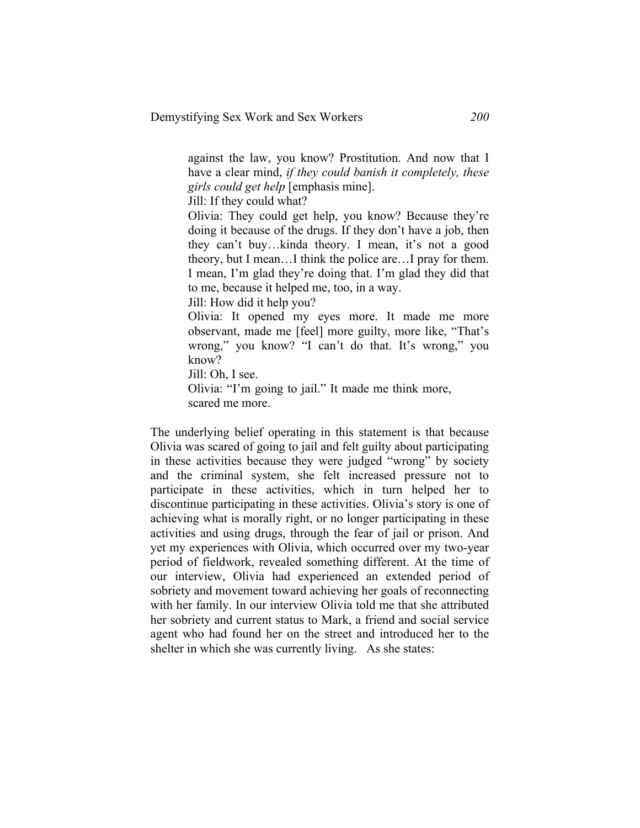against the law, you know? Prostitution. And now that I have a clear mind, *if they could banish it completely, these girls could get help* [emphasis mine].

Jill: If they could what?

Olivia: They could get help, you know? Because they're doing it because of the drugs. If they don't have a job, then they can't buy…kinda theory. I mean, it's not a good theory, but I mean…I think the police are…I pray for them. I mean, I'm glad they're doing that. I'm glad they did that to me, because it helped me, too, in a way.

Jill: How did it help you?

Olivia: It opened my eyes more. It made me more observant, made me [feel] more guilty, more like, "That's wrong," you know? "I can't do that. It's wrong," you know?

Jill: Oh, I see.

Olivia: "I'm going to jail." It made me think more, scared me more.

The underlying belief operating in this statement is that because Olivia was scared of going to jail and felt guilty about participating in these activities because they were judged "wrong" by society and the criminal system, she felt increased pressure not to participate in these activities, which in turn helped her to discontinue participating in these activities. Olivia's story is one of achieving what is morally right, or no longer participating in these activities and using drugs, through the fear of jail or prison. And yet my experiences with Olivia, which occurred over my two-year period of fieldwork, revealed something different. At the time of our interview, Olivia had experienced an extended period of sobriety and movement toward achieving her goals of reconnecting with her family. In our interview Olivia told me that she attributed her sobriety and current status to Mark, a friend and social service agent who had found her on the street and introduced her to the shelter in which she was currently living. As she states: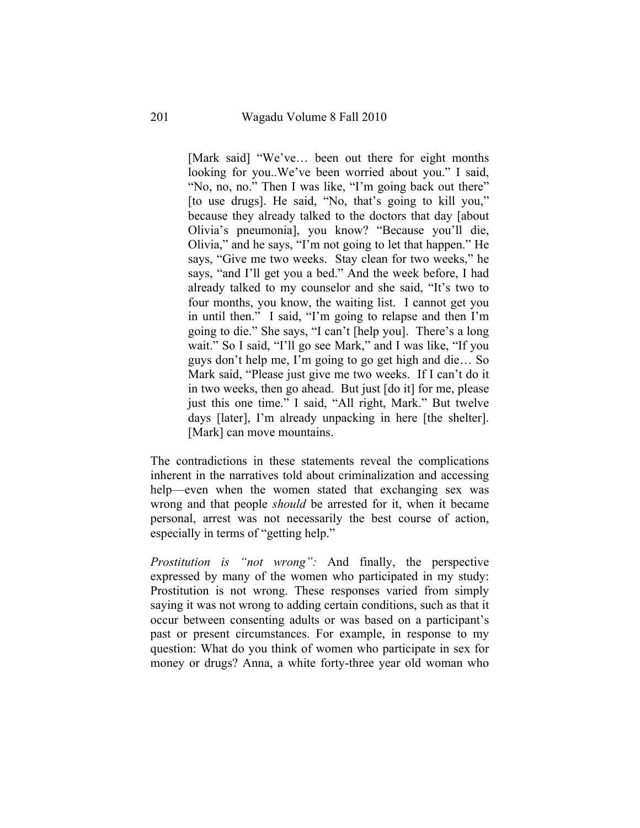[Mark said] "We've… been out there for eight months looking for you..We've been worried about you." I said, "No, no, no." Then I was like, "I'm going back out there" [to use drugs]. He said, "No, that's going to kill you," because they already talked to the doctors that day [about Olivia's pneumonia], you know? "Because you'll die, Olivia," and he says, "I'm not going to let that happen." He says, "Give me two weeks. Stay clean for two weeks," he says, "and I'll get you a bed." And the week before, I had already talked to my counselor and she said, "It's two to four months, you know, the waiting list. I cannot get you in until then." I said, "I'm going to relapse and then I'm going to die." She says, "I can't [help you]. There's a long wait." So I said, "I'll go see Mark," and I was like, "If you guys don't help me, I'm going to go get high and die… So Mark said, "Please just give me two weeks. If I can't do it in two weeks, then go ahead. But just [do it] for me, please just this one time." I said, "All right, Mark." But twelve days [later], I'm already unpacking in here [the shelter]. [Mark] can move mountains.

The contradictions in these statements reveal the complications inherent in the narratives told about criminalization and accessing help—even when the women stated that exchanging sex was wrong and that people *should* be arrested for it, when it became personal, arrest was not necessarily the best course of action, especially in terms of "getting help."

*Prostitution is "not wrong":* And finally, the perspective expressed by many of the women who participated in my study: Prostitution is not wrong. These responses varied from simply saying it was not wrong to adding certain conditions, such as that it occur between consenting adults or was based on a participant's past or present circumstances. For example, in response to my question: What do you think of women who participate in sex for money or drugs? Anna, a white forty-three year old woman who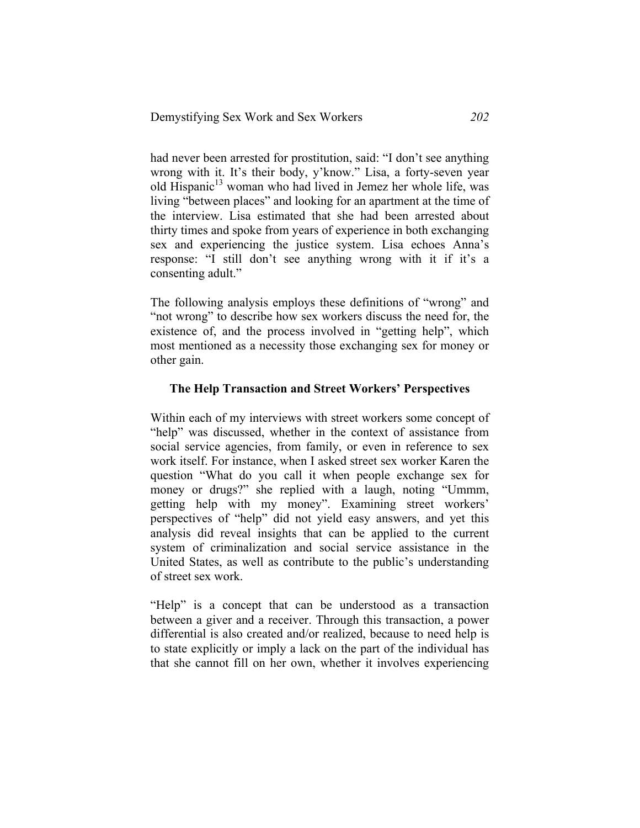had never been arrested for prostitution, said: "I don't see anything wrong with it. It's their body, y'know." Lisa, a forty-seven year old Hispanic<sup>13</sup> woman who had lived in Jemez her whole life, was living "between places" and looking for an apartment at the time of the interview. Lisa estimated that she had been arrested about thirty times and spoke from years of experience in both exchanging sex and experiencing the justice system. Lisa echoes Anna's response: "I still don't see anything wrong with it if it's a consenting adult."

The following analysis employs these definitions of "wrong" and "not wrong" to describe how sex workers discuss the need for, the existence of, and the process involved in "getting help", which most mentioned as a necessity those exchanging sex for money or other gain.

#### **The Help Transaction and Street Workers' Perspectives**

Within each of my interviews with street workers some concept of "help" was discussed, whether in the context of assistance from social service agencies, from family, or even in reference to sex work itself. For instance, when I asked street sex worker Karen the question "What do you call it when people exchange sex for money or drugs?" she replied with a laugh, noting "Ummm, getting help with my money". Examining street workers' perspectives of "help" did not yield easy answers, and yet this analysis did reveal insights that can be applied to the current system of criminalization and social service assistance in the United States, as well as contribute to the public's understanding of street sex work.

"Help" is a concept that can be understood as a transaction between a giver and a receiver. Through this transaction, a power differential is also created and/or realized, because to need help is to state explicitly or imply a lack on the part of the individual has that she cannot fill on her own, whether it involves experiencing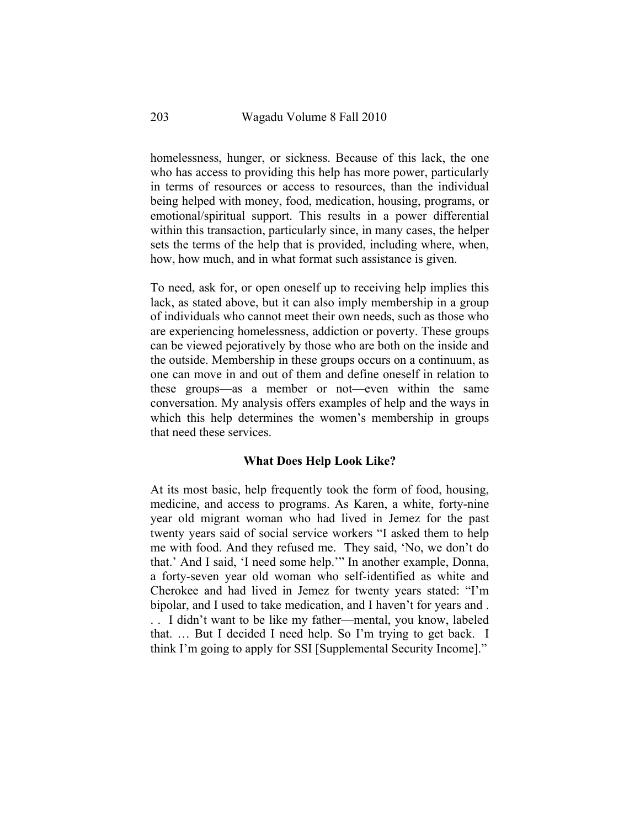homelessness, hunger, or sickness. Because of this lack, the one who has access to providing this help has more power, particularly in terms of resources or access to resources, than the individual being helped with money, food, medication, housing, programs, or emotional/spiritual support. This results in a power differential within this transaction, particularly since, in many cases, the helper sets the terms of the help that is provided, including where, when, how, how much, and in what format such assistance is given.

To need, ask for, or open oneself up to receiving help implies this lack, as stated above, but it can also imply membership in a group of individuals who cannot meet their own needs, such as those who are experiencing homelessness, addiction or poverty. These groups can be viewed pejoratively by those who are both on the inside and the outside. Membership in these groups occurs on a continuum, as one can move in and out of them and define oneself in relation to these groups—as a member or not—even within the same conversation. My analysis offers examples of help and the ways in which this help determines the women's membership in groups that need these services.

#### **What Does Help Look Like?**

At its most basic, help frequently took the form of food, housing, medicine, and access to programs. As Karen, a white, forty-nine year old migrant woman who had lived in Jemez for the past twenty years said of social service workers "I asked them to help me with food. And they refused me. They said, 'No, we don't do that.' And I said, 'I need some help.'" In another example, Donna, a forty-seven year old woman who self-identified as white and Cherokee and had lived in Jemez for twenty years stated: "I'm bipolar, and I used to take medication, and I haven't for years and . . . I didn't want to be like my father—mental, you know, labeled that. … But I decided I need help. So I'm trying to get back. I think I'm going to apply for SSI [Supplemental Security Income]."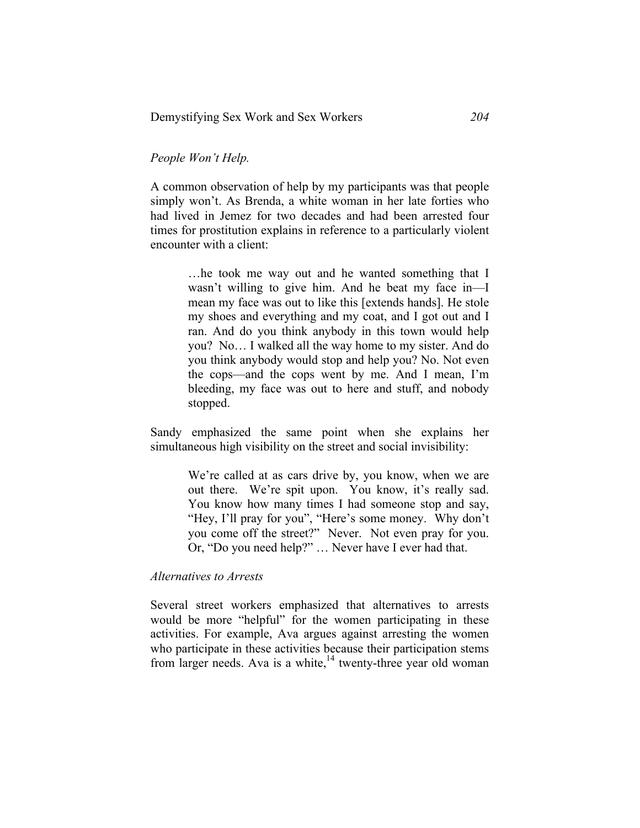### *People Won't Help.*

A common observation of help by my participants was that people simply won't. As Brenda, a white woman in her late forties who had lived in Jemez for two decades and had been arrested four times for prostitution explains in reference to a particularly violent encounter with a client:

> …he took me way out and he wanted something that I wasn't willing to give him. And he beat my face in—I mean my face was out to like this [extends hands]. He stole my shoes and everything and my coat, and I got out and I ran. And do you think anybody in this town would help you? No… I walked all the way home to my sister. And do you think anybody would stop and help you? No. Not even the cops—and the cops went by me. And I mean, I'm bleeding, my face was out to here and stuff, and nobody stopped.

Sandy emphasized the same point when she explains her simultaneous high visibility on the street and social invisibility:

> We're called at as cars drive by, you know, when we are out there. We're spit upon. You know, it's really sad. You know how many times I had someone stop and say, "Hey, I'll pray for you", "Here's some money. Why don't you come off the street?" Never. Not even pray for you. Or, "Do you need help?" … Never have I ever had that.

#### *Alternatives to Arrests*

Several street workers emphasized that alternatives to arrests would be more "helpful" for the women participating in these activities. For example, Ava argues against arresting the women who participate in these activities because their participation stems from larger needs. Ava is a white, $^{14}$  twenty-three year old woman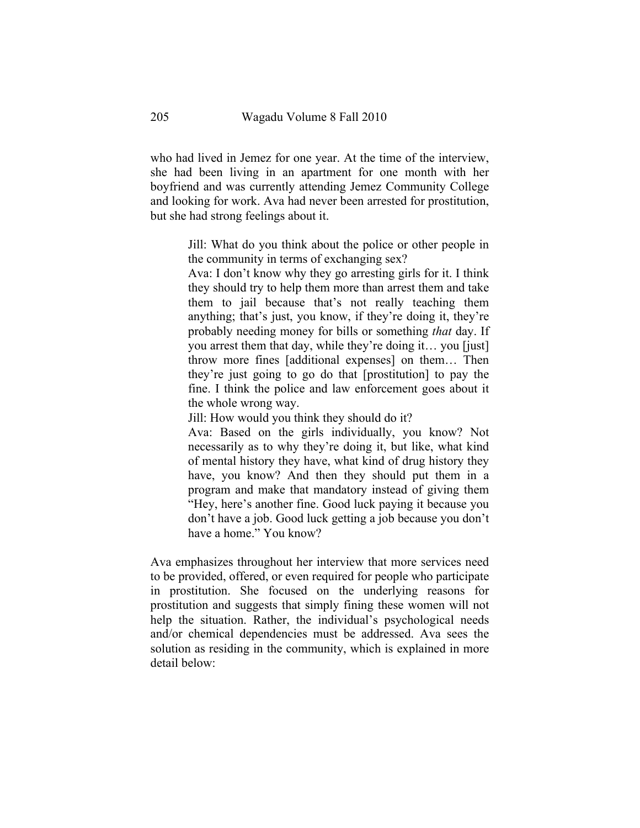who had lived in Jemez for one year. At the time of the interview, she had been living in an apartment for one month with her boyfriend and was currently attending Jemez Community College and looking for work. Ava had never been arrested for prostitution, but she had strong feelings about it.

> Jill: What do you think about the police or other people in the community in terms of exchanging sex?

> Ava: I don't know why they go arresting girls for it. I think they should try to help them more than arrest them and take them to jail because that's not really teaching them anything; that's just, you know, if they're doing it, they're probably needing money for bills or something *that* day. If you arrest them that day, while they're doing it… you [just] throw more fines [additional expenses] on them… Then they're just going to go do that [prostitution] to pay the fine. I think the police and law enforcement goes about it the whole wrong way.

Jill: How would you think they should do it?

Ava: Based on the girls individually, you know? Not necessarily as to why they're doing it, but like, what kind of mental history they have, what kind of drug history they have, you know? And then they should put them in a program and make that mandatory instead of giving them "Hey, here's another fine. Good luck paying it because you don't have a job. Good luck getting a job because you don't have a home." You know?

Ava emphasizes throughout her interview that more services need to be provided, offered, or even required for people who participate in prostitution. She focused on the underlying reasons for prostitution and suggests that simply fining these women will not help the situation. Rather, the individual's psychological needs and/or chemical dependencies must be addressed. Ava sees the solution as residing in the community, which is explained in more detail below: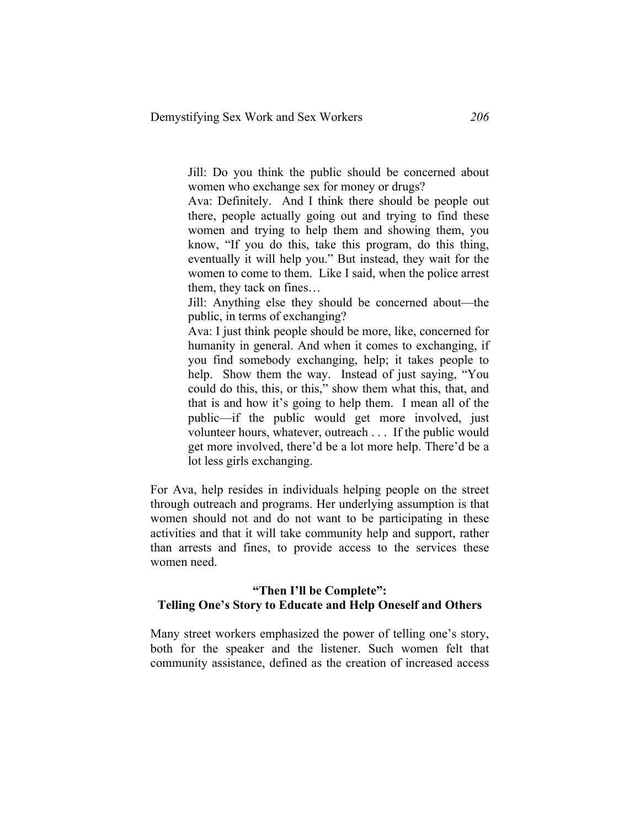Jill: Do you think the public should be concerned about women who exchange sex for money or drugs?

Ava: Definitely. And I think there should be people out there, people actually going out and trying to find these women and trying to help them and showing them, you know, "If you do this, take this program, do this thing, eventually it will help you." But instead, they wait for the women to come to them. Like I said, when the police arrest them, they tack on fines…

Jill: Anything else they should be concerned about—the public, in terms of exchanging?

Ava: I just think people should be more, like, concerned for humanity in general. And when it comes to exchanging, if you find somebody exchanging, help; it takes people to help. Show them the way. Instead of just saying, "You could do this, this, or this," show them what this, that, and that is and how it's going to help them. I mean all of the public—if the public would get more involved, just volunteer hours, whatever, outreach . . . If the public would get more involved, there'd be a lot more help. There'd be a lot less girls exchanging.

For Ava, help resides in individuals helping people on the street through outreach and programs. Her underlying assumption is that women should not and do not want to be participating in these activities and that it will take community help and support, rather than arrests and fines, to provide access to the services these women need.

#### **"Then I'll be Complete": Telling One's Story to Educate and Help Oneself and Others**

Many street workers emphasized the power of telling one's story, both for the speaker and the listener. Such women felt that community assistance, defined as the creation of increased access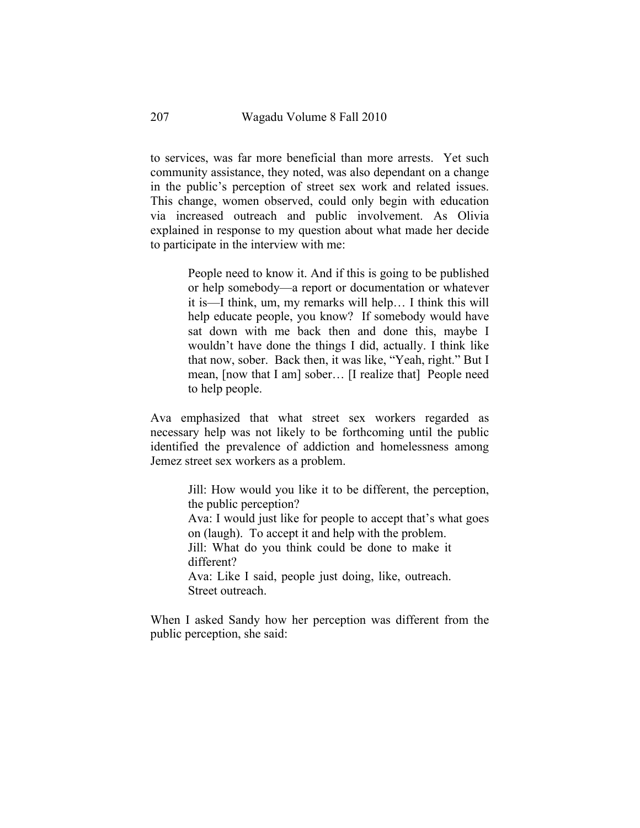to services, was far more beneficial than more arrests. Yet such community assistance, they noted, was also dependant on a change in the public's perception of street sex work and related issues. This change, women observed, could only begin with education via increased outreach and public involvement. As Olivia explained in response to my question about what made her decide to participate in the interview with me:

> People need to know it. And if this is going to be published or help somebody—a report or documentation or whatever it is—I think, um, my remarks will help… I think this will help educate people, you know? If somebody would have sat down with me back then and done this, maybe I wouldn't have done the things I did, actually. I think like that now, sober. Back then, it was like, "Yeah, right." But I mean, [now that I am] sober… [I realize that] People need to help people.

Ava emphasized that what street sex workers regarded as necessary help was not likely to be forthcoming until the public identified the prevalence of addiction and homelessness among Jemez street sex workers as a problem.

> Jill: How would you like it to be different, the perception, the public perception? Ava: I would just like for people to accept that's what goes on (laugh). To accept it and help with the problem. Jill: What do you think could be done to make it different? Ava: Like I said, people just doing, like, outreach. Street outreach.

When I asked Sandy how her perception was different from the public perception, she said: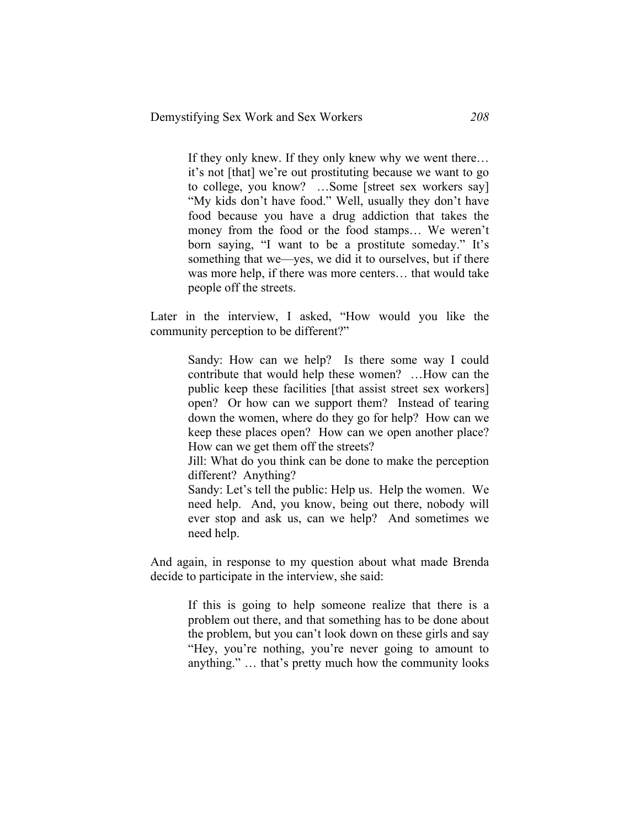If they only knew. If they only knew why we went there… it's not [that] we're out prostituting because we want to go to college, you know? …Some [street sex workers say] "My kids don't have food." Well, usually they don't have food because you have a drug addiction that takes the money from the food or the food stamps… We weren't born saying, "I want to be a prostitute someday." It's something that we—yes, we did it to ourselves, but if there was more help, if there was more centers… that would take people off the streets.

Later in the interview, I asked, "How would you like the community perception to be different?"

> Sandy: How can we help? Is there some way I could contribute that would help these women? …How can the public keep these facilities [that assist street sex workers] open? Or how can we support them? Instead of tearing down the women, where do they go for help? How can we keep these places open? How can we open another place? How can we get them off the streets?

> Jill: What do you think can be done to make the perception different? Anything?

> Sandy: Let's tell the public: Help us. Help the women. We need help. And, you know, being out there, nobody will ever stop and ask us, can we help? And sometimes we need help.

And again, in response to my question about what made Brenda decide to participate in the interview, she said:

> If this is going to help someone realize that there is a problem out there, and that something has to be done about the problem, but you can't look down on these girls and say "Hey, you're nothing, you're never going to amount to anything." … that's pretty much how the community looks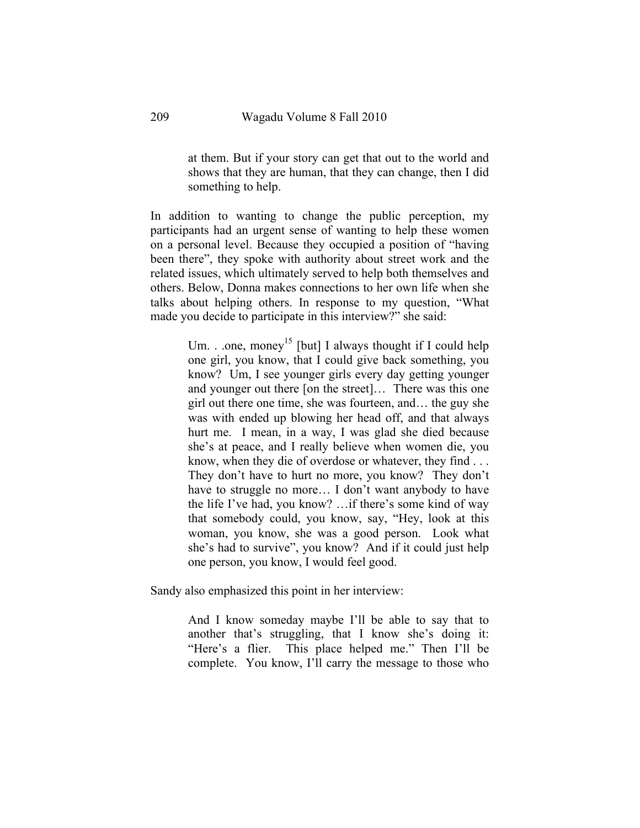at them. But if your story can get that out to the world and shows that they are human, that they can change, then I did something to help.

In addition to wanting to change the public perception, my participants had an urgent sense of wanting to help these women on a personal level. Because they occupied a position of "having been there", they spoke with authority about street work and the related issues, which ultimately served to help both themselves and others. Below, Donna makes connections to her own life when she talks about helping others. In response to my question, "What made you decide to participate in this interview?" she said:

> Um. . .one, money<sup>15</sup> [but] I always thought if I could help one girl, you know, that I could give back something, you know? Um, I see younger girls every day getting younger and younger out there [on the street]… There was this one girl out there one time, she was fourteen, and… the guy she was with ended up blowing her head off, and that always hurt me. I mean, in a way, I was glad she died because she's at peace, and I really believe when women die, you know, when they die of overdose or whatever, they find . . . They don't have to hurt no more, you know? They don't have to struggle no more... I don't want anybody to have the life I've had, you know? …if there's some kind of way that somebody could, you know, say, "Hey, look at this woman, you know, she was a good person. Look what she's had to survive", you know? And if it could just help one person, you know, I would feel good.

Sandy also emphasized this point in her interview:

And I know someday maybe I'll be able to say that to another that's struggling, that I know she's doing it: "Here's a flier. This place helped me." Then I'll be complete. You know, I'll carry the message to those who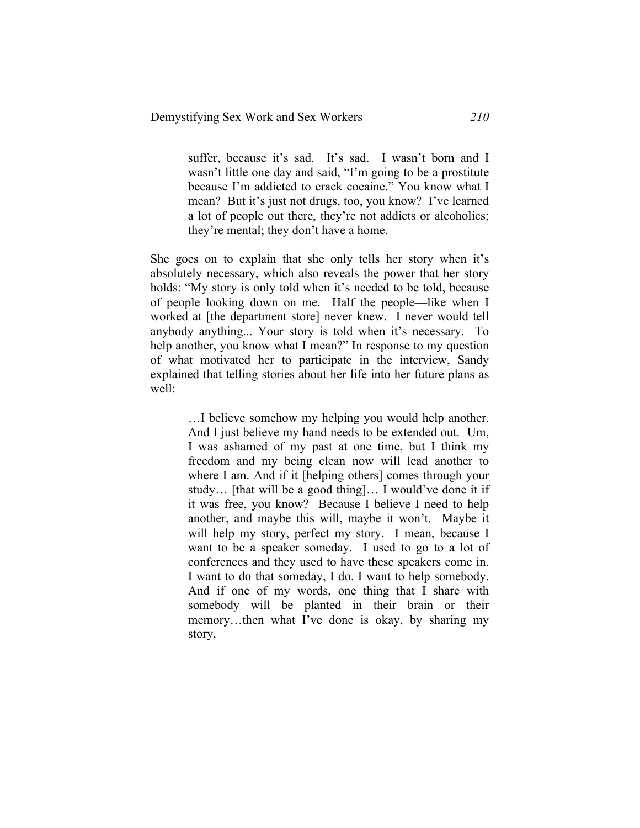suffer, because it's sad. It's sad. I wasn't born and I wasn't little one day and said, "I'm going to be a prostitute because I'm addicted to crack cocaine." You know what I mean? But it's just not drugs, too, you know? I've learned a lot of people out there, they're not addicts or alcoholics; they're mental; they don't have a home.

She goes on to explain that she only tells her story when it's absolutely necessary, which also reveals the power that her story holds: "My story is only told when it's needed to be told, because of people looking down on me. Half the people—like when I worked at [the department store] never knew. I never would tell anybody anything... Your story is told when it's necessary. To help another, you know what I mean?" In response to my question of what motivated her to participate in the interview, Sandy explained that telling stories about her life into her future plans as well:

> …I believe somehow my helping you would help another. And I just believe my hand needs to be extended out. Um, I was ashamed of my past at one time, but I think my freedom and my being clean now will lead another to where I am. And if it [helping others] comes through your study… [that will be a good thing]… I would've done it if it was free, you know? Because I believe I need to help another, and maybe this will, maybe it won't. Maybe it will help my story, perfect my story. I mean, because I want to be a speaker someday. I used to go to a lot of conferences and they used to have these speakers come in. I want to do that someday, I do. I want to help somebody. And if one of my words, one thing that I share with somebody will be planted in their brain or their memory…then what I've done is okay, by sharing my story.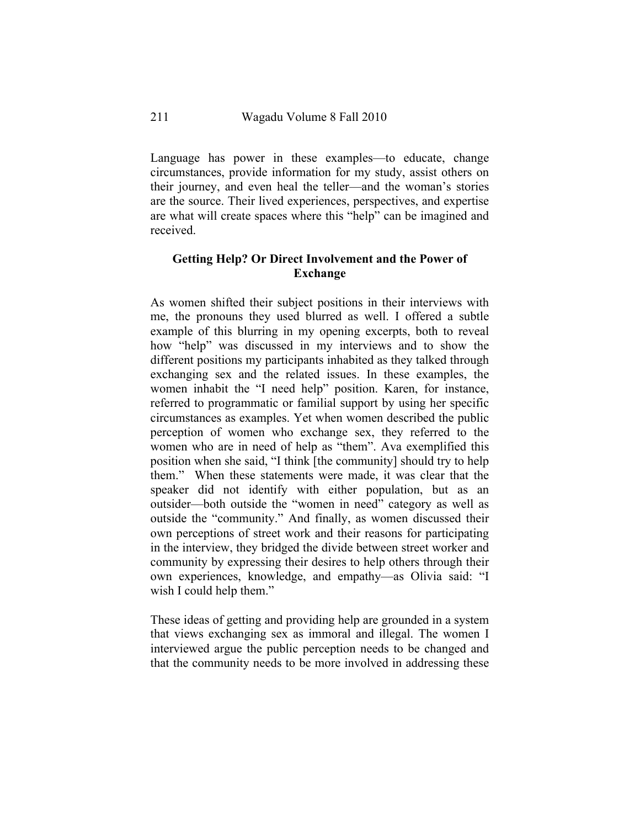Language has power in these examples—to educate, change circumstances, provide information for my study, assist others on their journey, and even heal the teller—and the woman's stories are the source. Their lived experiences, perspectives, and expertise are what will create spaces where this "help" can be imagined and received.

## **Getting Help? Or Direct Involvement and the Power of Exchange**

As women shifted their subject positions in their interviews with me, the pronouns they used blurred as well. I offered a subtle example of this blurring in my opening excerpts, both to reveal how "help" was discussed in my interviews and to show the different positions my participants inhabited as they talked through exchanging sex and the related issues. In these examples, the women inhabit the "I need help" position. Karen, for instance, referred to programmatic or familial support by using her specific circumstances as examples. Yet when women described the public perception of women who exchange sex, they referred to the women who are in need of help as "them". Ava exemplified this position when she said, "I think [the community] should try to help them." When these statements were made, it was clear that the speaker did not identify with either population, but as an outsider—both outside the "women in need" category as well as outside the "community." And finally, as women discussed their own perceptions of street work and their reasons for participating in the interview, they bridged the divide between street worker and community by expressing their desires to help others through their own experiences, knowledge, and empathy—as Olivia said: "I wish I could help them."

These ideas of getting and providing help are grounded in a system that views exchanging sex as immoral and illegal. The women I interviewed argue the public perception needs to be changed and that the community needs to be more involved in addressing these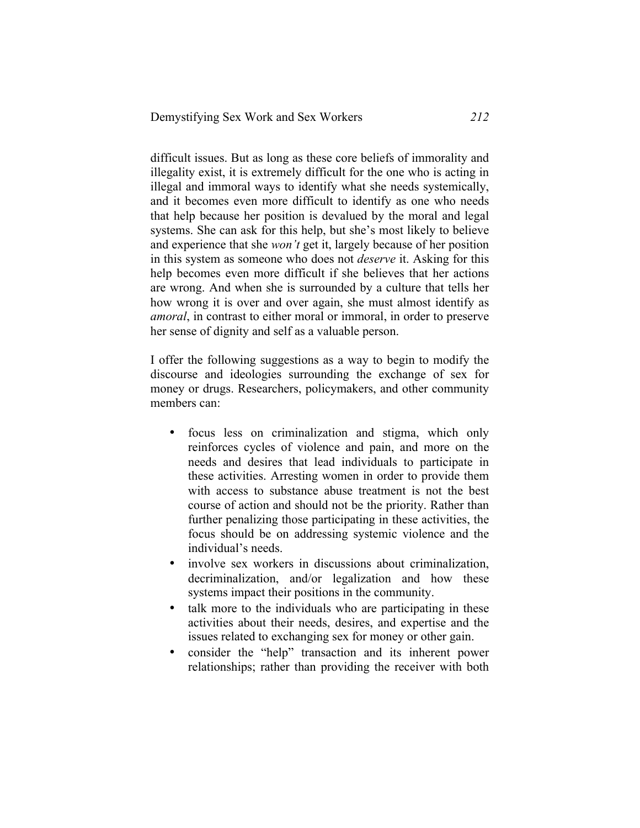difficult issues. But as long as these core beliefs of immorality and illegality exist, it is extremely difficult for the one who is acting in illegal and immoral ways to identify what she needs systemically, and it becomes even more difficult to identify as one who needs that help because her position is devalued by the moral and legal systems. She can ask for this help, but she's most likely to believe and experience that she *won't* get it, largely because of her position in this system as someone who does not *deserve* it. Asking for this help becomes even more difficult if she believes that her actions are wrong. And when she is surrounded by a culture that tells her how wrong it is over and over again, she must almost identify as *amoral*, in contrast to either moral or immoral, in order to preserve her sense of dignity and self as a valuable person.

I offer the following suggestions as a way to begin to modify the discourse and ideologies surrounding the exchange of sex for money or drugs. Researchers, policymakers, and other community members can:

- focus less on criminalization and stigma, which only reinforces cycles of violence and pain, and more on the needs and desires that lead individuals to participate in these activities. Arresting women in order to provide them with access to substance abuse treatment is not the best course of action and should not be the priority. Rather than further penalizing those participating in these activities, the focus should be on addressing systemic violence and the individual's needs.
- involve sex workers in discussions about criminalization, decriminalization, and/or legalization and how these systems impact their positions in the community.
- talk more to the individuals who are participating in these activities about their needs, desires, and expertise and the issues related to exchanging sex for money or other gain.
- consider the "help" transaction and its inherent power relationships; rather than providing the receiver with both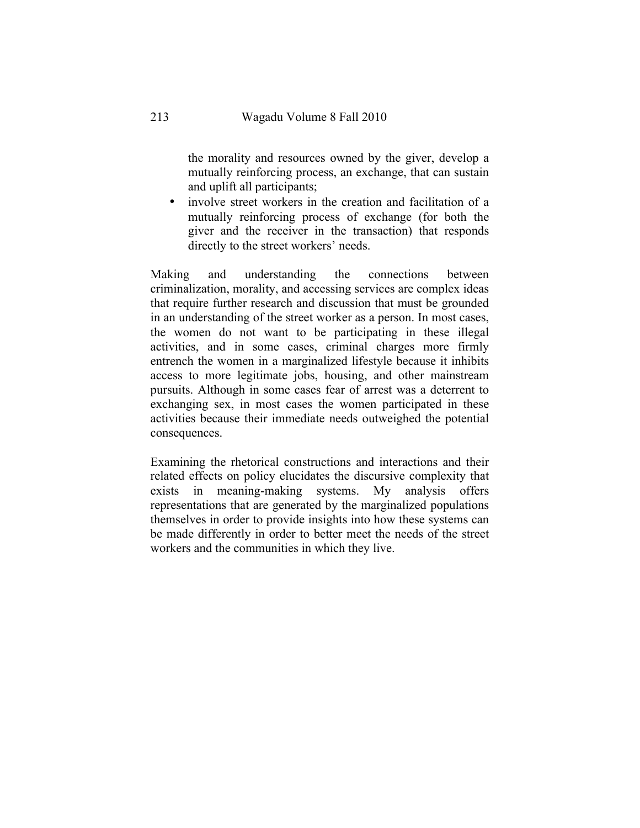the morality and resources owned by the giver, develop a mutually reinforcing process, an exchange, that can sustain and uplift all participants;

involve street workers in the creation and facilitation of a mutually reinforcing process of exchange (for both the giver and the receiver in the transaction) that responds directly to the street workers' needs.

Making and understanding the connections between criminalization, morality, and accessing services are complex ideas that require further research and discussion that must be grounded in an understanding of the street worker as a person. In most cases, the women do not want to be participating in these illegal activities, and in some cases, criminal charges more firmly entrench the women in a marginalized lifestyle because it inhibits access to more legitimate jobs, housing, and other mainstream pursuits. Although in some cases fear of arrest was a deterrent to exchanging sex, in most cases the women participated in these activities because their immediate needs outweighed the potential consequences.

Examining the rhetorical constructions and interactions and their related effects on policy elucidates the discursive complexity that exists in meaning-making systems. My analysis offers representations that are generated by the marginalized populations themselves in order to provide insights into how these systems can be made differently in order to better meet the needs of the street workers and the communities in which they live.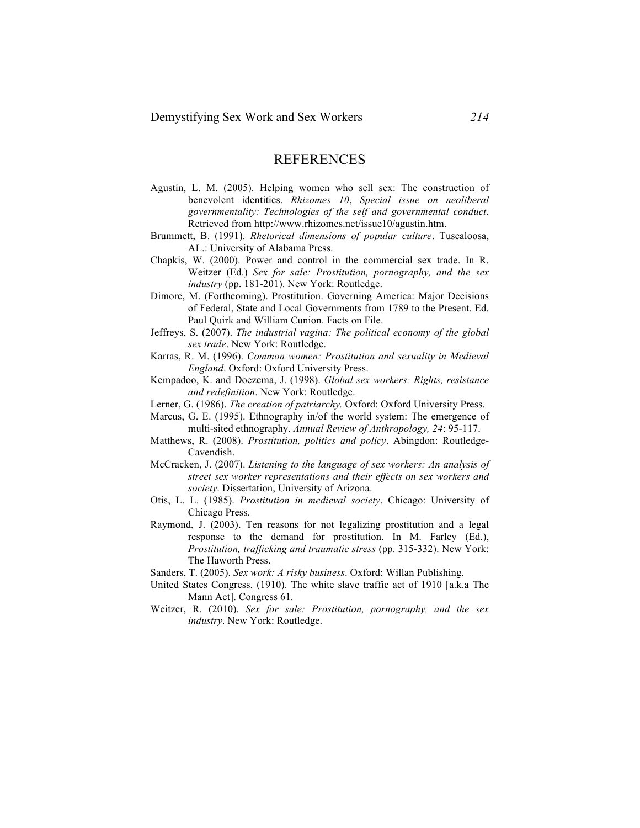#### **REFERENCES**

- Agustín, L. M. (2005). Helping women who sell sex: The construction of benevolent identities. *Rhizomes 10*, *Special issue on neoliberal governmentality: Technologies of the self and governmental conduct*. Retrieved from http://www.rhizomes.net/issue10/agustin.htm.
- Brummett, B. (1991). *Rhetorical dimensions of popular culture*. Tuscaloosa, AL.: University of Alabama Press.
- Chapkis, W. (2000). Power and control in the commercial sex trade. In R. Weitzer (Ed.) *Sex for sale: Prostitution, pornography, and the sex industry* (pp. 181-201). New York: Routledge.
- Dimore, M. (Forthcoming). Prostitution. Governing America: Major Decisions of Federal, State and Local Governments from 1789 to the Present. Ed. Paul Quirk and William Cunion. Facts on File.
- Jeffreys, S. (2007). *The industrial vagina: The political economy of the global sex trade*. New York: Routledge.
- Karras, R. M. (1996). *Common women: Prostitution and sexuality in Medieval England*. Oxford: Oxford University Press.
- Kempadoo, K. and Doezema, J. (1998). *Global sex workers: Rights, resistance and redefinition*. New York: Routledge.
- Lerner, G. (1986). *The creation of patriarchy.* Oxford: Oxford University Press.
- Marcus, G. E. (1995). Ethnography in/of the world system: The emergence of multi-sited ethnography. *Annual Review of Anthropology, 24*: 95-117.
- Matthews, R. (2008). *Prostitution, politics and policy*. Abingdon: Routledge-Cavendish.
- McCracken, J. (2007). *Listening to the language of sex workers: An analysis of street sex worker representations and their effects on sex workers and society*. Dissertation, University of Arizona.
- Otis, L. L. (1985). *Prostitution in medieval society*. Chicago: University of Chicago Press.
- Raymond, J. (2003). Ten reasons for not legalizing prostitution and a legal response to the demand for prostitution. In M. Farley (Ed.), *Prostitution, trafficking and traumatic stress* (pp. 315-332). New York: The Haworth Press.
- Sanders, T. (2005). *Sex work: A risky business*. Oxford: Willan Publishing.
- United States Congress. (1910). The white slave traffic act of 1910 [a.k.a The Mann Act]. Congress 61.
- Weitzer, R. (2010). *Sex for sale: Prostitution, pornography, and the sex industry*. New York: Routledge.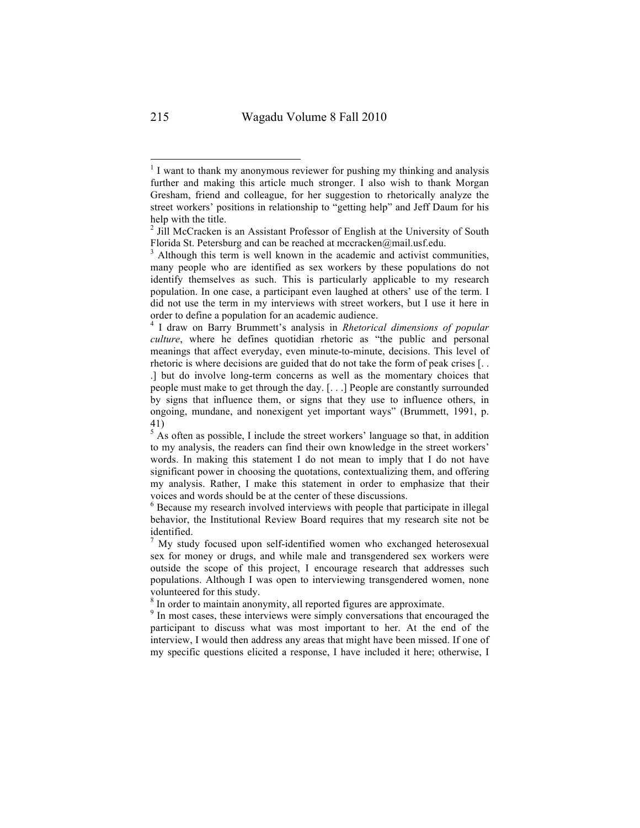$1$  I want to thank my anonymous reviewer for pushing my thinking and analysis further and making this article much stronger. I also wish to thank Morgan Gresham, friend and colleague, for her suggestion to rhetorically analyze the street workers' positions in relationship to "getting help" and Jeff Daum for his help with the title.

<sup>&</sup>lt;sup>2</sup> Jill McCracken is an Assistant Professor of English at the University of South Florida St. Petersburg and can be reached at mccracken@mail.usf.edu.

 $3$  Although this term is well known in the academic and activist communities, many people who are identified as sex workers by these populations do not identify themselves as such. This is particularly applicable to my research population. In one case, a participant even laughed at others' use of the term. I did not use the term in my interviews with street workers, but I use it here in order to define a population for an academic audience.

<sup>4</sup> I draw on Barry Brummett's analysis in *Rhetorical dimensions of popular culture*, where he defines quotidian rhetoric as "the public and personal meanings that affect everyday, even minute-to-minute, decisions. This level of rhetoric is where decisions are guided that do not take the form of peak crises [. . .] but do involve long-term concerns as well as the momentary choices that people must make to get through the day. [. . .] People are constantly surrounded by signs that influence them, or signs that they use to influence others, in ongoing, mundane, and nonexigent yet important ways" (Brummett, 1991, p. 41)

 $5$  As often as possible, I include the street workers' language so that, in addition to my analysis, the readers can find their own knowledge in the street workers' words. In making this statement I do not mean to imply that I do not have significant power in choosing the quotations, contextualizing them, and offering my analysis. Rather, I make this statement in order to emphasize that their voices and words should be at the center of these discussions.

<sup>6</sup> Because my research involved interviews with people that participate in illegal behavior, the Institutional Review Board requires that my research site not be identified.

<sup>&</sup>lt;sup>T</sup> My study focused upon self-identified women who exchanged heterosexual sex for money or drugs, and while male and transgendered sex workers were outside the scope of this project, I encourage research that addresses such populations. Although I was open to interviewing transgendered women, none volunteered for this study.<br><sup>8</sup> In order to maintain anonymity, all reported figures are approximate.<br><sup>9</sup> In most cases, these interviews were simply conversations that encouraged the

participant to discuss what was most important to her. At the end of the interview, I would then address any areas that might have been missed. If one of my specific questions elicited a response, I have included it here; otherwise, I